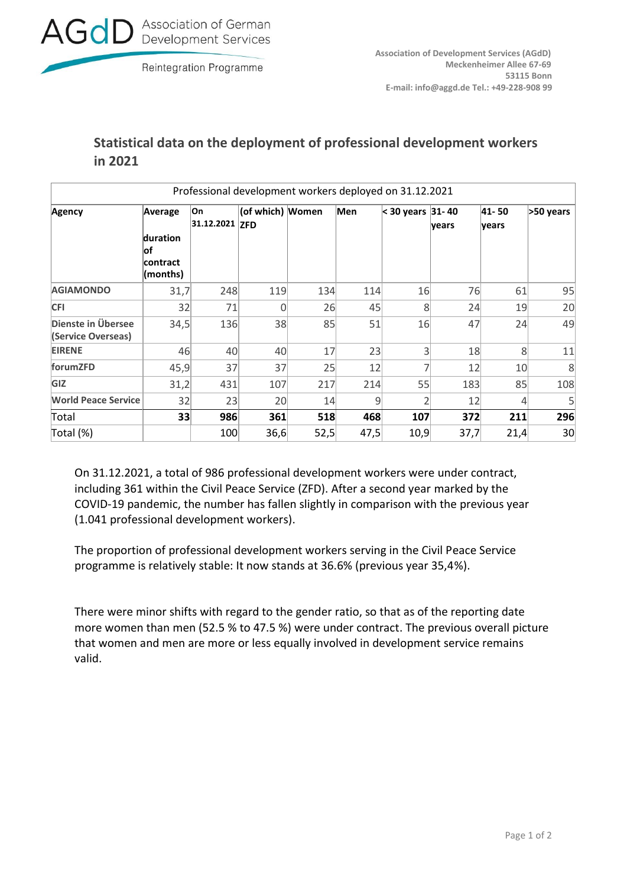

## **Statistical data on the deployment of professional development workers in 2021**

| Professional development workers deployed on 31.12.2021 |                                                           |                      |                  |      |      |                  |       |                |           |  |
|---------------------------------------------------------|-----------------------------------------------------------|----------------------|------------------|------|------|------------------|-------|----------------|-----------|--|
| <b>Agency</b>                                           | Average<br>duration<br>∣of<br><b>contract</b><br>(months) | On<br>31.12.2021 ZFD | (of which) Women |      | Men  | < 30 years 31-40 | years | 41-50<br>years | >50 years |  |
| <b>AGIAMONDO</b>                                        | 31,7                                                      | 248                  | 119              | 134  | 114  | 16               | 76    | 61             | 95        |  |
| <b>CFI</b>                                              | 32                                                        | 71                   |                  | 26   | 45   | 8                | 24    | 19             | 20        |  |
| Dienste in Übersee<br>(Service Overseas)                | 34,5                                                      | 136                  | 38               | 85   | 51   | 16               | 47    | 24             | 49        |  |
| <b>EIRENE</b>                                           | 46                                                        | 40                   | 40               | 17   | 23   | 3                | 18    | 8              | 11        |  |
| forumZFD                                                | 45,9                                                      | 37                   | 37               | 25   | 12   |                  | 12    | 10             | 8         |  |
| GIZ                                                     | 31,2                                                      | 431                  | 107              | 217  | 214  | 55               | 183   | 85             | 108       |  |
| <b>World Peace Service</b>                              | 32                                                        | 23                   | 20               | 14   | 9    | フ                | 12    | 4              | 5         |  |
| Total                                                   | 33                                                        | 986                  | 361              | 518  | 468  | 107              | 372   | 211            | 296       |  |
| Total (%)                                               |                                                           | 100                  | 36,6             | 52,5 | 47,5 | 10,9             | 37,7  | 21,4           | 30        |  |

On 31.12.2021, a total of 986 professional development workers were under contract, including 361 within the Civil Peace Service (ZFD). After a second year marked by the COVID-19 pandemic, the number has fallen slightly in comparison with the previous year (1.041 professional development workers).

The proportion of professional development workers serving in the Civil Peace Service programme is relatively stable: It now stands at 36.6% (previous year 35,4%).

There were minor shifts with regard to the gender ratio, so that as of the reporting date more women than men (52.5 % to 47.5 %) were under contract. The previous overall picture that women and men are more or less equally involved in development service remains valid.